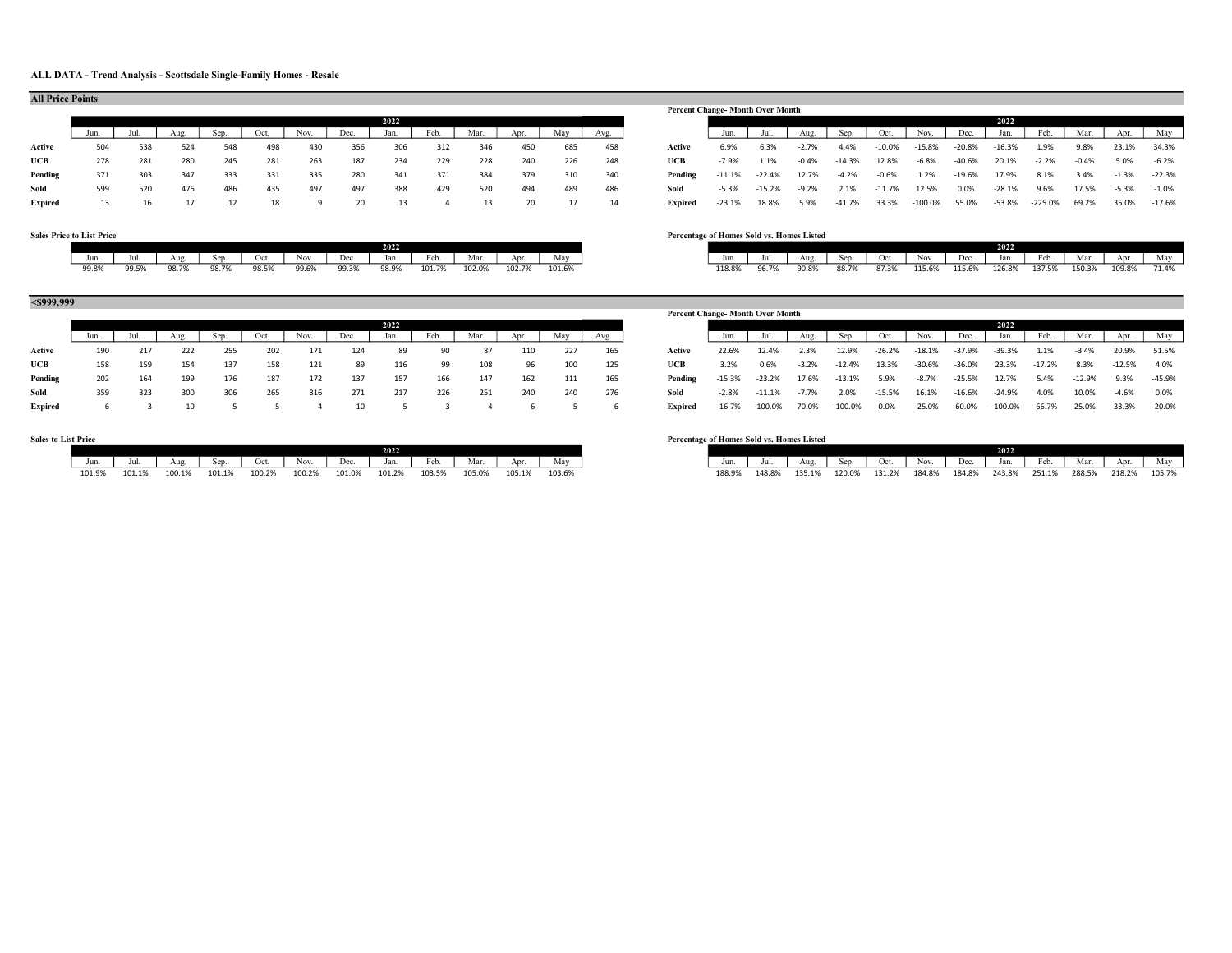#### ALL DATA - Trend Analysis - Scottsdale Single-Family Homes - Resale

|                |     |     |     |     |      |      |      |      |      |      |           |     |      |                | <b>Percent Change-Month Over Month</b> |              |          |            |          |               |          |          |                         |         |         |          |
|----------------|-----|-----|-----|-----|------|------|------|------|------|------|-----------|-----|------|----------------|----------------------------------------|--------------|----------|------------|----------|---------------|----------|----------|-------------------------|---------|---------|----------|
|                |     |     |     |     |      |      |      | 2022 |      |      |           |     |      |                |                                        |              |          |            |          |               |          | 2022     |                         |         |         |          |
|                |     |     |     |     | Oct. | Nov. | Dec. | Jan. | Feb. | Mar. | Apr.      | Mav | Avg. |                |                                        | Jul.         |          | Sep.       | Oct.     | Nov.          | Dec.     | Jan.     | Feb.                    | Mar.    | Apr.    | May      |
| Active         | 504 | 538 | 524 | 548 | 498  |      | 356  | 306  | 312  | 346  | 450       | 685 | 458  | Active         | 6.9%                                   | 6.3%         | $-2.7\%$ | 4.4%       | $-10.0%$ | $-15.8%$      | -20.8%   | $-16.3%$ | 1.9%                    | 9.8%    | 23.1%   | 34.3%    |
| UCB            | 278 | 281 | 280 | 245 | 281  | 263  | 187  | 234  | 229  | 228  | 240       | 226 | 248  | UCB            | $-7.9%$                                | 1.1%         | $-0.4%$  | $-14.3%$   | 12.8%    | $-6.8%$       | $-40.6%$ | 20.1%    | $-2.2%$                 | $-0.4%$ | 5.0%    | $-6.2%$  |
| Pending        | 371 | 303 | 347 | 333 | 331  | 335  | 280  | 341  | 371  | 384  | 379       | 310 | 340  | Pending        | $-11.1%$                               | -22.4%       | 12.7%    | $-4.2%$    | $-0.6%$  | 1.2%          | $-19.6%$ | 17.9%    | 8.1%                    | 3.4%    | $-1.3%$ | $-22.3%$ |
| Sold           | 599 | 520 | 476 | 486 | 435  | 497  | 497  | 388  | 429  | 520  | 494       | 489 | 486  | Sold           | $-5.3%$                                | $-15.2%$     | $-9.2%$  | 2.1%       | $-11.7%$ | 12.5%         | 0.0%     | $-28.1%$ | 9.6%                    | 17.5%   | $-5.3%$ | $-1.0%$  |
| <b>Evnired</b> | 13  |     | 17  |     |      |      |      | - 13 |      | 13.  | <b>20</b> | 17  | 11   | <b>Evnired</b> |                                        | -22.1% 19.9% |          | 5,9% 11,7% | 33 30    | -100.0% 55.0% |          |          | -53.9% - 225.0% - 69.2% |         | 35. UK  | $-17.6%$ |

## Percent Change- Month Over Month 2022 2022 Jun. Jul. | Aug. | Sep. | Oct. | Nov. | Dec. | Jan. | Feb. | Mar. | Apr. | May Expired 13 16 17 12 18 9 20 13 4 13 20 17 14 Expired -23.1% 18.8% 5.9% -41.7% 33.3% -100.0% 55.0% -53.8% -225.0% 69.2% 35.0% -17.6%

#### Sales Price to List Price Percentage of Homes Sold vs. Homes Listed

All Price Points

| Nov.<br>$N_{\rm max}$<br>$\mathbf{A}$<br>Oct.<br>May<br>Dec.<br>Jan.<br>Oct.<br>Jul.<br>Aug<br>Apr<br>Sep.<br>Jun.<br>Dec.<br>iviai .<br>INOV.<br>reo.<br>Aug<br>reo.<br>126.8%<br>90.8%<br>96.79<br>137.5%<br>87.3%<br>115.6%<br>88.7%<br>115.6%<br>118.8% |       |       |       |       |       |       |       | 2022 I |        |        |        |        |
|-------------------------------------------------------------------------------------------------------------------------------------------------------------------------------------------------------------------------------------------------------------|-------|-------|-------|-------|-------|-------|-------|--------|--------|--------|--------|--------|
|                                                                                                                                                                                                                                                             |       |       |       |       |       |       |       |        |        |        |        |        |
|                                                                                                                                                                                                                                                             |       |       |       |       |       |       |       |        |        |        |        |        |
|                                                                                                                                                                                                                                                             | 99.8% | 99.5% | 98.7% | 98.7% | 98.5% | 99.6% | 99.3% | 98.9%  | 101.7% | 102.0% | 102.7% | 101.6% |

### <\$999,999

|         |     |     |     |      |      |      |          |      |      |      |      |     |      |                                                                                           | гегсен слапче- мониг өмег мюниг |               |         |           |          |          |          |          |          |          |                |          |
|---------|-----|-----|-----|------|------|------|----------|------|------|------|------|-----|------|-------------------------------------------------------------------------------------------|---------------------------------|---------------|---------|-----------|----------|----------|----------|----------|----------|----------|----------------|----------|
|         |     |     |     |      |      |      |          | 2022 |      |      |      |     |      |                                                                                           |                                 |               |         |           |          |          |          | 2022     |          |          |                |          |
|         |     |     |     | Sep. | Oct. | Nov. | Dec.     | Jan. | Feb. | Mar. | Apr. | Mav | Avg. |                                                                                           |                                 | Jul.          | Aug.    | Sep.      | Oct.     | Nov.     | Dec.     | Jan.     | Feb.     | Mar.     | Apr.           | May      |
| Active  | 190 | 217 | 222 | 255  | 202  | 171  | 124      | 89   |      | 87   | 110  | 227 | 165  | Active                                                                                    | 22.6%                           | 12.4%         | 2.3%    | 12.9%     | -26.2%   | -18.1%   | $-37.9%$ | $-39.3%$ | $1.1\%$  | $-3.4%$  | 20.9% 51.5%    |          |
| UCB     | 158 | 159 | 154 | 137  | 158  | 121  | -89      | 116  | 99   | 108  | 96   | 100 | 125  | UCB                                                                                       | 3.2%                            | 0.6%          | $-3.2%$ | $-12.4%$  | 13.3%    | $-30.6%$ | $-36.0%$ | 23.3%    | $-17.2%$ | 8.3%     | $-12.5\%$ 4.0% |          |
| Pending | 202 | 164 | 199 | 176  | 187  | 172  | 137      | 157  | 166  | 147  | 162  | 111 | 165  | Pending                                                                                   |                                 | -15.3% -23.2% | 17.6%   | $-13.1\%$ | 5.9%     | $-8.7%$  | $-25.5%$ | 12.7%    | 5.4%     | $-12.9%$ | 9.3%           | $-45.9%$ |
| Sold    | 359 | 323 | 300 | 306  | 265  | 316  | 271      | 217  | 226  | 251  | 240  | 240 | 276  | Sold                                                                                      | -2.8%                           | $-11.1\%$     | -7.7%   | 2.0%      | $-15.5%$ | 16.1%    | -16.6%   | -24.9%   | 4.0%     | 10.0%    | $-4.6\%$ 0.0%  |          |
| Exnired |     |     |     |      |      |      | 5 5 4 10 |      |      |      |      |     |      | Exputred -16.7% -100.0% 70.0% -100.0% 0.0% -25.0% 60.0% -100.0% -66.7% 25.0% 33.3% -20.0% |                                 |               |         |           |          |          |          |          |          |          |                |          |

|        |        |        |        |        |        |        | 4022   |        |        |             |        |
|--------|--------|--------|--------|--------|--------|--------|--------|--------|--------|-------------|--------|
|        |        | Aug    | ᠈↓レ    | vu.    | Nov.   | Dec.   | Jan.   | rco.   | Mar.   | $\Delta U1$ | May    |
| 101.99 | 101.1% | 100.1% | 101.1% | 100.2° | 100.2% | 101.09 | 101.2% | 103.5% | 105.0% | 105.1%      | 103.6% |

| л септаре от глониез годи уз. глониез тлятей |  |  |  |  |
|----------------------------------------------|--|--|--|--|
|                                              |  |  |  |  |

| 2022       |                       |             |        |        |        |                              |            |           |            |        |        | 2022   |        |             |            |       |
|------------|-----------------------|-------------|--------|--------|--------|------------------------------|------------|-----------|------------|--------|--------|--------|--------|-------------|------------|-------|
| Jan.       | $\sim$ $\sim$<br>Feb. | . .<br>Mar. | Apr.   | May    | Jun.   | Jul.                         | Aug.       | ⊾°∝<br>سر | Oct.       | Nov.   | Dec.   | Jan.   | Feb.   | Mar.        | Apr.       | May   |
| '8.9%<br>. | 101.7%                | 102.0%      | 102.7% | 101.6% | 118.8% | 0 <sub>0</sub><br>OG<br>,,,, | 90.8%<br>. | 30. / 7   | 87 3%<br>. | 115.6% | 115.6% | 126.8% | 137.5% | 150.3%<br>. | 09.8%<br>. | 71.4% |

|         |     |     |     |     |      |      |      |      |      |      |      |     |      | <b>Percent Change-Month Over Month</b> |          |           |         |           |          |          |          |            |          |          |          |          |
|---------|-----|-----|-----|-----|------|------|------|------|------|------|------|-----|------|----------------------------------------|----------|-----------|---------|-----------|----------|----------|----------|------------|----------|----------|----------|----------|
|         |     |     |     |     |      |      |      | 2022 |      |      |      |     |      |                                        |          |           |         |           |          |          |          | 2022       |          |          |          |          |
|         |     |     |     |     | Oct. | Nov. | Dec. | Jan. | Feb. | Mar. | Apr. | May | Avg. |                                        | Jun.     |           |         | Sep.      | Oct.     | Nov.     | Dec.     | Jan.       | Feb.     | Mar.     | Apr.     | May      |
| Active  | 190 | 217 | 222 | 255 | 202  | 171  | 124  | 89   |      | -87  | 110  | 227 | 165  | Active                                 | 22.6%    | 12.4%     | 2.3%    | 12.9%     | $-26.2%$ | $-18.1%$ | $-37.9%$ | $-39.3%$   | 1.1%     | $-3.4%$  | 20.9%    | 51.5%    |
| UCB     | 158 | 159 | 154 | 137 | 158  | 121  | 89   | 116  | 99   | 108  | 96   | 100 | 125  | UCB                                    | 3.2%     | 0.6%      | $-3.2%$ | $-12.4%$  | 13.3%    | $-30.6%$ | -36.0%   | 23.3%      | $-17.2%$ | 8.3%     | $-12.5%$ | 4.0%     |
| Pending | 202 | 164 | 199 | 176 | 187  | 172  | 137  | 157  | 166  | 147  | 162  | 111 | 165  | Pending                                | $-15.3%$ | $-23.2%$  | 17.6%   | $-13.1%$  | 5.9%     | $-8.7%$  | $-25.5%$ | 12.7%      | 5.4%     | $-12.9%$ | 9.3%     | $-45.9%$ |
| Sold    | 359 | 323 | 300 | 306 | 265  | 316  | 271  | 217  | 226  | 251  | 240  | 240 | 276  | Sold                                   | $-2.8%$  | -11.1%    | $-7.7%$ | 2.0%      | $-15.5%$ | 16.1%    | $-16.6%$ | $-24.9%$   | 4.0%     | 10.0%    | $-4.6%$  | 0.0%     |
| Expired |     |     |     |     |      |      |      |      |      |      |      |     |      | Expired                                | $-16.7%$ | $-100.0%$ | 70.0%   | $-100.0%$ | $0.0\%$  | $-25.0%$ | 60.0%    | $-100.0\%$ | -66.7%   | 25.0%    | 33.3%    | $-20.0%$ |
|         |     |     |     |     |      |      |      |      |      |      |      |     |      |                                        |          |           |         |           |          |          |          |            |          |          |          |          |

### Sales to List Price Percentage of Homes Sold vs. Homes Listed

| 2022  |                       |                                          |        |             |  |             |        |                  |        |                  |        |        | 2022   |                  |                    |        |  |
|-------|-----------------------|------------------------------------------|--------|-------------|--|-------------|--------|------------------|--------|------------------|--------|--------|--------|------------------|--------------------|--------|--|
| Jan.  | $\sim$<br>reb.        | Mar.                                     | Apr.   | Mav         |  | Jun.        |        | Aus              | Sep    | Oct.             | Nov.   | Dec.   | Jan.   | $\cdots$<br>Feb. | Mar.               | ۹n     |  |
| 01.2% | 12.5%<br>103.J/G<br>. | $-$ 00<br>10 <sup>h</sup><br>.U3.U%<br>. | 105.1% | 103.6%<br>. |  | 188.9%<br>. | 148.89 | 125.40/<br>,,,,, | 120.0% | 121 79<br>131.Z7 | 184.8% | 184.8% | 243.89 | 251.19           | 288.5%<br>.5%<br>. | 218.29 |  |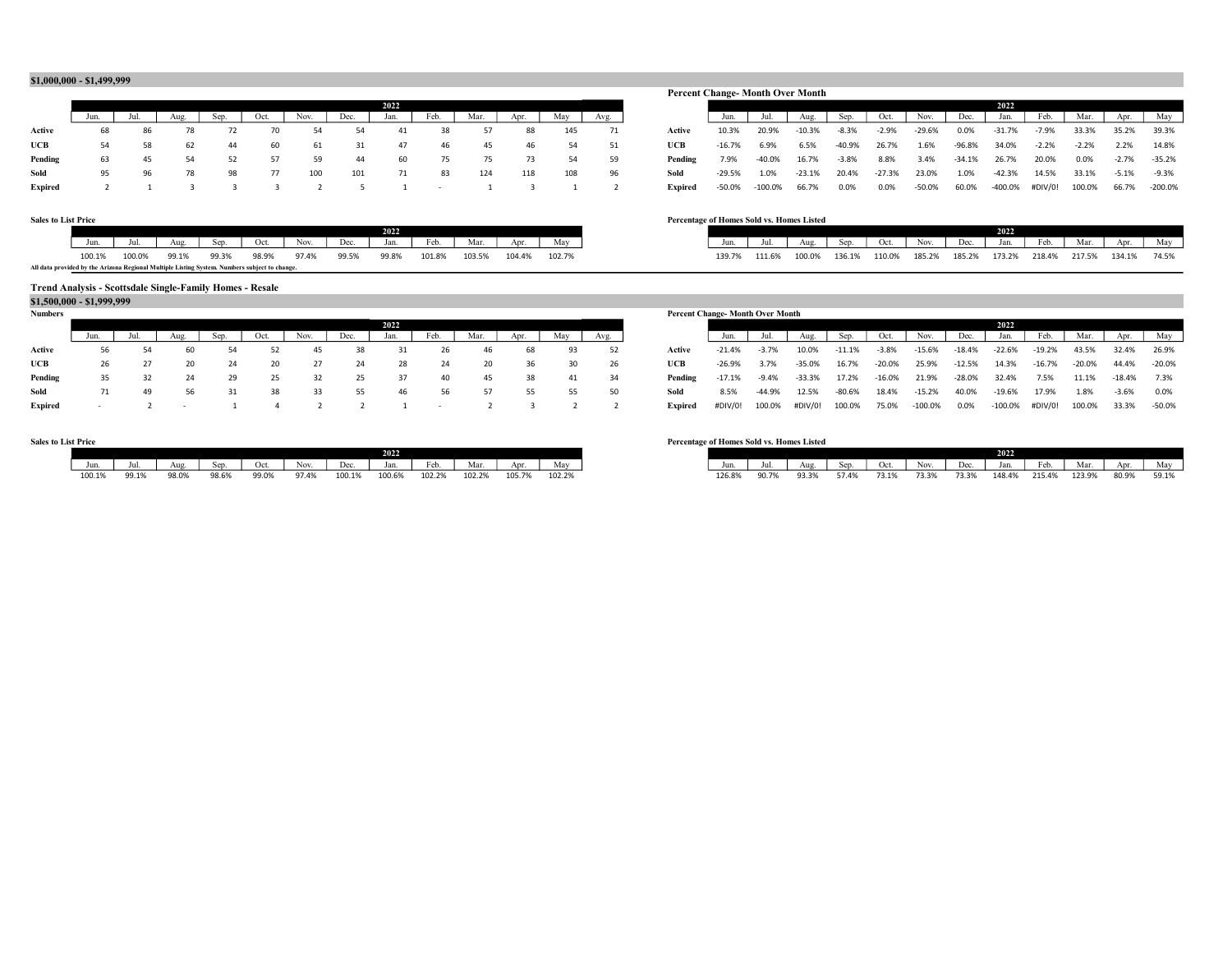#### \$1,000,000 - \$1,499,999

|         |    |    |    |    |      |      |      |      |      |      |      |     |      |         | Terent change home over home |               |        |         |         |              |        |          |                                      |         |                  |       |
|---------|----|----|----|----|------|------|------|------|------|------|------|-----|------|---------|------------------------------|---------------|--------|---------|---------|--------------|--------|----------|--------------------------------------|---------|------------------|-------|
|         |    |    |    |    |      |      |      | 2022 |      |      |      |     |      |         |                              |               |        |         |         |              |        | 2022     |                                      |         |                  |       |
|         |    |    |    |    | Oct. | Nov. | Dec. | Jan. | Feb. | Mar. | Apr. | Mav | Avg. |         |                              |               |        | Sep.    | Oct.    | Nov.         | Dec.   | Jan.     | Feb.                                 | Mar.    | Apr.             | May   |
| Active  | 68 | 86 |    |    |      |      |      | 41   | 38   |      | 88   | 145 | 71   | Active  | 10.3%                        | 20.9%         | -10.3% | -8.3%   | $-2.9%$ | $-29.6%$     | 0.0%   | $-31.7%$ | $-7.9%$                              | 33.3%   | 35.2% 39.3%      |       |
| UCB     | 54 | 58 | 62 | 44 | 60   | 61   |      | 47   | 46   | 45   | 46   | 54  | 51   | UCB     | -16.7%                       | 6.9%          | 6.5%   | -40.9%  | 26.7%   | 1.6%         | -96.8% | 34.0%    | $-2.2%$                              | $-2.2%$ | 2.2%             | 14.8% |
| Pending | 63 |    | 54 | 52 | 57   | 59   | 44   | 60   | 75   | 75   |      | 54  | 59   | Pending | 7.9%                         | -40.0%        | 16.7%  | $-3.8%$ | 8.8%    | 3.4%         | -34.1% | 26.7%    | 20.0%                                | 0.0%    | $-2.7\% -35.2\%$ |       |
| Sold    | 95 | 96 | 78 | 98 | 77   | 100  | 101  | 71   | 83   | 124  | 118  | 108 | 96   | Sold    | -29.5%                       | 1.0%          | -23.1% | 20.4%   | -27.3%  | 23.0%        | 1.0%   | $-42.3%$ | 14.5%                                | 33.1%   | $-5.1\% -9.3\%$  |       |
| Expired |    |    |    |    |      |      |      |      |      |      |      |     |      | Expired | -50.0%                       | -100.0% 66.7% |        | 0.0%    | 0.0%    | -50.0% 60.0% |        |          | -400.0% #DIV/0! 100.0% 66.7% -200.09 |         |                  |       |

|         | _____ |      |    |    |      |      |      |      |      |      |     |     |      | <b>Percent Change-Month Over Month</b> |          |            |          |          |          |          |          |           |         |         |         |           |
|---------|-------|------|----|----|------|------|------|------|------|------|-----|-----|------|----------------------------------------|----------|------------|----------|----------|----------|----------|----------|-----------|---------|---------|---------|-----------|
|         |       |      |    |    |      |      |      | 2022 |      |      |     |     |      |                                        |          |            |          |          |          |          |          | 2022      |         |         |         |           |
|         | Jun.  | Jul. |    |    | Oct. | Nov. | Dec. | Jan. | Feb. | Mar. |     | May | Avg. |                                        |          |            | Aug.     |          | Oct.     | Nov.     | Dec.     | Jan.      | Feb.    | Mar.    |         | May       |
| Active  | 68    | 86   | 78 |    |      | 54   | 54   |      | 38   |      | 88  | 145 |      | Active                                 | 10.3%    | 20.9%      | $-10.3%$ | $-8.3%$  | $-2.9%$  | $-29.6%$ | 0.0%     | $-31.7%$  | $-7.9%$ | 33.3%   | 35.2%   | 39.3%     |
| UCB     | 54    | 58   | 62 | 44 | 60   | 61   | 31   | 47   | -46  | 45   | 46  | 54  | -51  | UCB                                    | $-16.7%$ | 6.9%       | 6.5%     | $-40.9%$ | 26.7%    | 1.6%     | -96.8%   | 34.0%     | $-2.2%$ | $-2.2%$ | 2.2%    | 14.8%     |
| Pending | 63    | 45   | 54 |    |      | 59   | 44   | 60   | 75   | 75   | 73  | 54  | -59  | Pending                                | 7.9%     | $-40.0%$   | 16.7%    | $-3.8%$  | 8.8%     | 3.4%     | $-34.1%$ | 26.7%     | 20.0%   | 0.0%    | $-2.7%$ | $-35.2%$  |
| Sold    | 95    | 96   | 78 | 98 | -77  | 100  | 101  | 71   | 83   | 124  | 118 | 108 | 96   | Sold                                   | $-29.5%$ | 1.0%       | $-23.1%$ | 20.4%    | $-27.3%$ | 23.0%    | 1.0%     | $-42.3%$  | 14.5%   | 33.1%   | $-5.1%$ | $-9.3%$   |
| Expired |       |      |    |    |      |      |      |      |      |      |     |     |      | Expired                                | -50.0%   | $-100.0\%$ | 66.7%    | 0.0%     | 0.0%     | $-50.0%$ | 60.0%    | $-400.0%$ | #DIV/0! | 100.0%  | 66.7%   | $-200.0%$ |

Jun. Jul. Aug. Sep. Oct. Nov. Dec. Jan. Feb. Mar. Apr. May 100.1% 100.0% 99.1% 99.3% 98.9% 97.4% 99.5% 99.8% 101.8% 103.5% 104.4% 102.7% 139.7% 111.6% 100.0% 136.1% 110.0% 185.2% 185.2% 173.2% 218.4% 217.5% 134.1% 74.5%

#### Sales to List Price Percentage of Homes Sold vs. Homes Listed

|                                                                                               |        |        |       |       |       |       |       | 2022  |        |        |        |        |
|-----------------------------------------------------------------------------------------------|--------|--------|-------|-------|-------|-------|-------|-------|--------|--------|--------|--------|
|                                                                                               | Jun    |        | Aug.  | Sep.  | Oct.  | Nov.  | Dec.  | Jan.  | Feb.   | Mar.   | Apr    | May    |
|                                                                                               | 100.1% | 100.0% | 99.1% | 99.3% | 98.9% | 97.4% | 99.5% | 99.8% | 101.8% | 103.5% | 104.4% | 102.7% |
| All data provided by the Arizona Regional Multiple Listing System. Numbers subject to change. |        |        |       |       |       |       |       |       |        |        |        |        |

#### Trend Analysis - Scottsdale Single-Family Homes - Resale

### \$1,500,000 - \$1,999,999

| таниет к |    |    |    |      |      |      |      |      |      |      |      |     |      |                                                                                            | гегсент сланде- монит оуег монит |         |          |          |          |          |           |                                  |       |       |                |  |
|----------|----|----|----|------|------|------|------|------|------|------|------|-----|------|--------------------------------------------------------------------------------------------|----------------------------------|---------|----------|----------|----------|----------|-----------|----------------------------------|-------|-------|----------------|--|
|          |    |    |    |      |      |      |      | 2022 |      |      |      |     |      |                                                                                            |                                  |         |          |          |          |          |           | 2022                             |       |       |                |  |
|          |    |    |    | Sep. | Oct. | Nov. | Dec. | Jan. | Feb. | Mar. | Apr. | Mav | Avg. |                                                                                            |                                  |         |          | Sep.     | Oct.     | Nov.     | Dec.      | Jan.                             | Feb.  | Mar.  | Apr. May       |  |
| Active   | 56 | 54 | 60 |      |      | 45   | 38   | 31   | 26   | -46  | 68   | 93  | 52   | Active                                                                                     | -21.4%                           | $-3.7%$ | 10.0%    | $-11.1%$ | $-3.8%$  | $-15.6%$ | -18.4%    | -22.6% -19.2%                    |       | 43.5% | 32.4% 26.9%    |  |
| UCB      | 26 | 27 |    | 24   | 20   |      | 24   | 28   | 24   | 20   | 36   | 30  | - 26 | UCB                                                                                        | -26.9%                           | 3.7%    | -35.0%   | 16.7%    | -20.0%   | 25.9%    | $-12.5%$  | 14.3% -16.7% -20.0% 44.4% -20.0% |       |       |                |  |
| Pending  | 35 | 32 |    |      | 25   | 32   | 25   | 37   | 40   | -45  | 38   | 41  | 34   | Pending                                                                                    | $-17.1\%$ $-9.4\%$               |         | $-33.3%$ | 17.2%    | $-16.0%$ | 21.9%    | $-28.0\%$ | 32.4%                            | 7.5%  | 11.1% | $-18.4\%$ 7.3% |  |
| Sold     | 71 | 49 | 56 |      | 38   | 33   | 55   | 46   | 56   | 57   | 55   | 55  | 50   | Sold                                                                                       | 8.5%                             | -44.9%  | 12.5%    | -80.6%   | 18.4%    | $-15.2%$ | 40.0%     | $-19.6%$                         | 17.9% | 1.8%  | $-3.6\%$ 0.0%  |  |
| Evnirod  |    |    |    |      |      |      |      |      |      |      |      |     |      | Exprimed #DIV/0L 100.0% #DIV/0L 100.0% 75.0% 100.0% 0.0% 100.0% #DIV/0L 100.0% 22.2% 50.0% |                                  |         |          |          |          |          |           |                                  |       |       |                |  |

# 2022 2022 Expired - 2 - 1 4 2 2 1 - 2 3 2 2 Expired #DIV/0! 100.0% #DIV/0! 100.0% 75.0% -100.0% 0.0% -100.0% #DIV/0! 100.0% 33.3% -50.0%

| $M_{\odot}$<br>May<br>Dec.<br>Oct.<br>Dec.<br>Nov.<br>Apr<br>Jan.<br>Aug.<br>Nov.<br>Sep.<br>T.CD. | 102.2%<br>105.7%<br>126.89<br>90.7%<br>102.2%<br>93.3%<br>73.3%<br>148.4%<br>73.1%<br>100.6%<br>73.3%<br>102.2%<br>57.4% |
|----------------------------------------------------------------------------------------------------|--------------------------------------------------------------------------------------------------------------------------|
|                                                                                                    |                                                                                                                          |
|                                                                                                    | 215.4%                                                                                                                   |

#### Sales to List Price Percentage of Homes Sold vs. Homes Listed

Percent Change- Month Over Month

| 2022  |                |        |        |        |  |
|-------|----------------|--------|--------|--------|--|
| Jan.  | $\sim$<br>reb. | Mar.   | Apr.   | Mav    |  |
| 00.6% | 102.2%         | 102.2% | 105.7% | 102.2% |  |